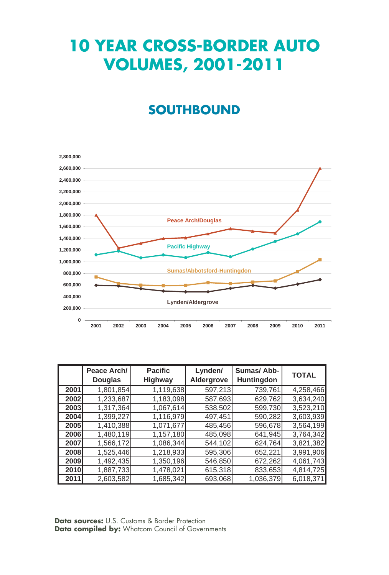## **10 YEAR CROSS-BORDER AUTO VOLUMES, 2001-2011**

## **SOUTHBOUND**



|             | Peace Arch/<br><b>Douglas</b> | <b>Pacific</b><br><b>Highway</b> | Lynden/<br>Aldergrove | Sumas/Abb-<br><b>Huntingdon</b> | <b>TOTAL</b> |
|-------------|-------------------------------|----------------------------------|-----------------------|---------------------------------|--------------|
| 2001        | 1,801,854                     | 1,119,638                        | 597,213               | 739,761                         | 4,258,466    |
| 2002        | 1,233,687                     | 1,183,098                        | 587,693               | 629,762                         | 3,634,240    |
| 2003        | 1,317,364                     | 1,067,614                        | 538,502               | 599,730                         | 3,523,210    |
| 2004        | 1,399,227                     | 1,116,979                        | 497.451               | 590,282                         | 3,603,939    |
| 2005        | 1,410,388                     | 1,071,677                        | 485,456               | 596,678                         | 3,564,199    |
| 2006        | 1,480,119                     | 1,157,180                        | 485,098               | 641,945                         | 3,764,342    |
| 2007        | 1,566,172                     | 1,086,344                        | 544,102               | 624,764                         | 3,821,382    |
| 2008        | 1,525,446                     | 1,218,933                        | 595,306               | 652,221                         | 3,991,906    |
| 2009        | 1,492,435                     | 1,350,196                        | 546,850               | 672,262                         | 4,061,743    |
| <b>2010</b> | 1,887,733                     | 1,478,021                        | 615,318               | 833,653                         | 4,814,725    |
| 2011        | 2,603,582                     | 1,685,342                        | 693,068               | 1,036,379                       | 6,018,371    |

**Data sources:** U.S. Customs & Border Protection **Data compiled by:** Whatcom Council of Governments